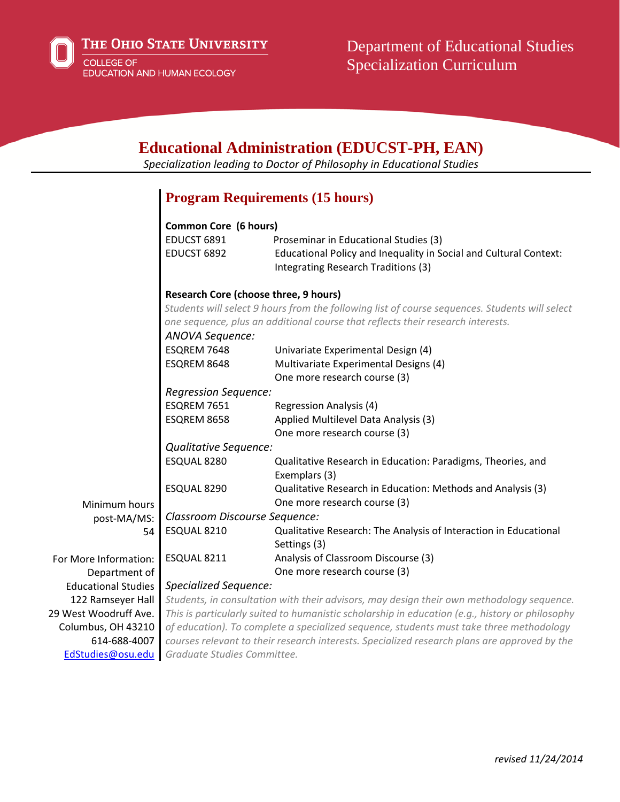

THE OHIO STATE UNIVERSITY

COLLEGE OF EDUCATION AND HUMAN ECOLOGY

| <b>Educational Administration (EDUCST-PH, EAN)</b><br>Specialization leading to Doctor of Philosophy in Educational Studies |                                                                                                    |                                                                                                          |
|-----------------------------------------------------------------------------------------------------------------------------|----------------------------------------------------------------------------------------------------|----------------------------------------------------------------------------------------------------------|
|                                                                                                                             |                                                                                                    | <b>Program Requirements (15 hours)</b>                                                                   |
|                                                                                                                             |                                                                                                    |                                                                                                          |
|                                                                                                                             | <b>Common Core (6 hours)</b>                                                                       |                                                                                                          |
|                                                                                                                             | EDUCST 6891                                                                                        | Proseminar in Educational Studies (3)                                                                    |
|                                                                                                                             | EDUCST 6892                                                                                        | Educational Policy and Inequality in Social and Cultural Context:<br>Integrating Research Traditions (3) |
|                                                                                                                             | <b>Research Core (choose three, 9 hours)</b>                                                       |                                                                                                          |
|                                                                                                                             | Students will select 9 hours from the following list of course sequences. Students will select     |                                                                                                          |
|                                                                                                                             | one sequence, plus an additional course that reflects their research interests.<br>ANOVA Sequence: |                                                                                                          |
|                                                                                                                             |                                                                                                    |                                                                                                          |
|                                                                                                                             | ESQREM 7648                                                                                        | Univariate Experimental Design (4)                                                                       |
|                                                                                                                             | ESQREM 8648                                                                                        | Multivariate Experimental Designs (4)                                                                    |
|                                                                                                                             |                                                                                                    | One more research course (3)                                                                             |
|                                                                                                                             | <b>Regression Sequence:</b>                                                                        |                                                                                                          |
|                                                                                                                             | ESQREM 7651                                                                                        | <b>Regression Analysis (4)</b>                                                                           |
|                                                                                                                             | ESQREM 8658                                                                                        | Applied Multilevel Data Analysis (3)                                                                     |
|                                                                                                                             |                                                                                                    | One more research course (3)                                                                             |
|                                                                                                                             | Qualitative Sequence:                                                                              |                                                                                                          |
|                                                                                                                             | ESQUAL 8280                                                                                        | Qualitative Research in Education: Paradigms, Theories, and                                              |
|                                                                                                                             |                                                                                                    | Exemplars (3)                                                                                            |
|                                                                                                                             | ESQUAL 8290                                                                                        | Qualitative Research in Education: Methods and Analysis (3)                                              |
| Minimum hours                                                                                                               |                                                                                                    | One more research course (3)                                                                             |
| post-MA/MS:                                                                                                                 | Classroom Discourse Sequence:                                                                      |                                                                                                          |
| 54                                                                                                                          | ESQUAL 8210                                                                                        | Qualitative Research: The Analysis of Interaction in Educational                                         |
|                                                                                                                             |                                                                                                    | Settings (3)                                                                                             |
| For More Information:                                                                                                       | ESQUAL 8211                                                                                        | Analysis of Classroom Discourse (3)                                                                      |
| Department of                                                                                                               |                                                                                                    | One more research course (3)                                                                             |
| <b>Educational Studies</b>                                                                                                  | Specialized Sequence:                                                                              |                                                                                                          |
| 122 Ramseyer Hall                                                                                                           | Students, in consultation with their advisors, may design their own methodology sequence.          |                                                                                                          |
| 29 West Woodruff Ave.                                                                                                       | This is particularly suited to humanistic scholarship in education (e.g., history or philosophy    |                                                                                                          |
| Columbus, OH 43210                                                                                                          | of education). To complete a specialized sequence, students must take three methodology            |                                                                                                          |
| 614-688-4007                                                                                                                | courses relevant to their research interests. Specialized research plans are approved by the       |                                                                                                          |
| EdStudies@osu.edu                                                                                                           | Graduate Studies Committee.                                                                        |                                                                                                          |